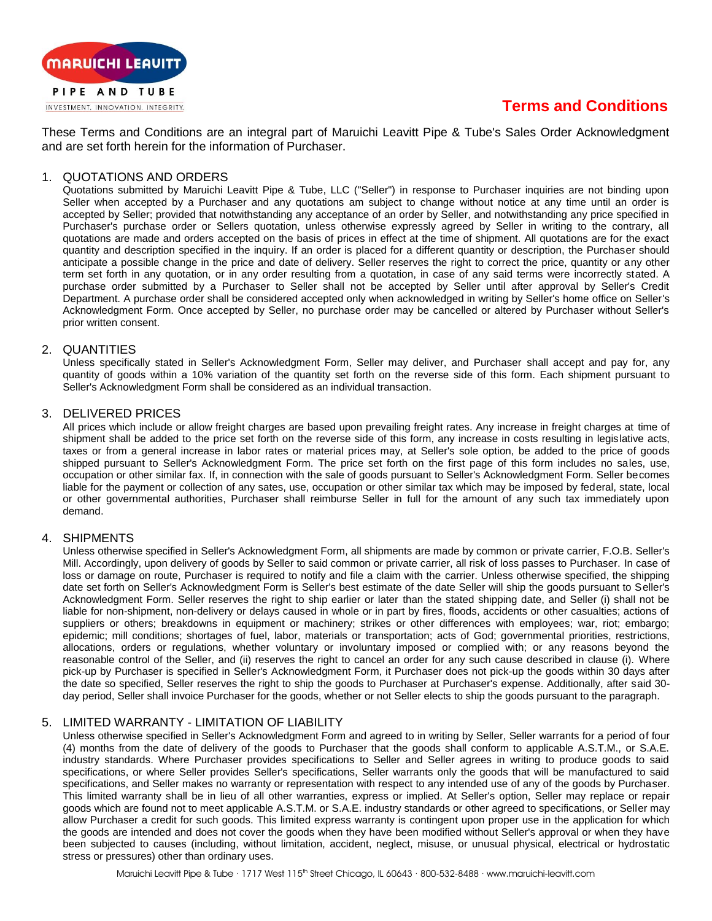

# **Terms and Conditions**

These Terms and Conditions are an integral part of Maruichi Leavitt Pipe & Tube's Sales Order Acknowledgment and are set forth herein for the information of Purchaser.

### 1. QUOTATIONS AND ORDERS

Quotations submitted by Maruichi Leavitt Pipe & Tube, LLC ("Seller") in response to Purchaser inquiries are not binding upon Seller when accepted by a Purchaser and any quotations am subject to change without notice at any time until an order is accepted by Seller; provided that notwithstanding any acceptance of an order by Seller, and notwithstanding any price specified in Purchaser's purchase order or Sellers quotation, unless otherwise expressly agreed by Seller in writing to the contrary, all quotations are made and orders accepted on the basis of prices in effect at the time of shipment. All quotations are for the exact quantity and description specified in the inquiry. If an order is placed for a different quantity or description, the Purchaser should anticipate a possible change in the price and date of delivery. Seller reserves the right to correct the price, quantity or any other term set forth in any quotation, or in any order resulting from a quotation, in case of any said terms were incorrectly stated. A purchase order submitted by a Purchaser to Seller shall not be accepted by Seller until after approval by Seller's Credit Department. A purchase order shall be considered accepted only when acknowledged in writing by Seller's home office on Seller's Acknowledgment Form. Once accepted by Seller, no purchase order may be cancelled or altered by Purchaser without Seller's prior written consent.

### 2. QUANTITIES

Unless specifically stated in Seller's Acknowledgment Form, Seller may deliver, and Purchaser shall accept and pay for, any quantity of goods within a 10% variation of the quantity set forth on the reverse side of this form. Each shipment pursuant to Seller's Acknowledgment Form shall be considered as an individual transaction.

### 3. DELIVERED PRICES

All prices which include or allow freight charges are based upon prevailing freight rates. Any increase in freight charges at time of shipment shall be added to the price set forth on the reverse side of this form, any increase in costs resulting in legislative acts, taxes or from a general increase in labor rates or material prices may, at Seller's sole option, be added to the price of goods shipped pursuant to Seller's Acknowledgment Form. The price set forth on the first page of this form includes no sales, use, occupation or other similar fax. If, in connection with the sale of goods pursuant to Seller's Acknowledgment Form. Seller becomes liable for the payment or collection of any sates, use, occupation or other similar tax which may be imposed by federal, state, local or other governmental authorities, Purchaser shall reimburse Seller in full for the amount of any such tax immediately upon demand.

## 4. SHIPMENTS

Unless otherwise specified in Seller's Acknowledgment Form, all shipments are made by common or private carrier, F.O.B. Seller's Mill. Accordingly, upon delivery of goods by Seller to said common or private carrier, all risk of loss passes to Purchaser. In case of loss or damage on route, Purchaser is required to notify and file a claim with the carrier. Unless otherwise specified, the shipping date set forth on Seller's Acknowledgment Form is Seller's best estimate of the date Seller will ship the goods pursuant to Seller's Acknowledgment Form. Seller reserves the right to ship earlier or later than the stated shipping date, and Seller (i) shall not be liable for non-shipment, non-delivery or delays caused in whole or in part by fires, floods, accidents or other casualties; actions of suppliers or others; breakdowns in equipment or machinery; strikes or other differences with employees; war, riot; embargo; epidemic; mill conditions; shortages of fuel, labor, materials or transportation; acts of God; governmental priorities, restrictions, allocations, orders or regulations, whether voluntary or involuntary imposed or complied with; or any reasons beyond the reasonable control of the Seller, and (ii) reserves the right to cancel an order for any such cause described in clause (i). Where pick-up by Purchaser is specified in Seller's Acknowledgment Form, it Purchaser does not pick-up the goods within 30 days after the date so specified, Seller reserves the right to ship the goods to Purchaser at Purchaser's expense. Additionally, after said 30 day period, Seller shall invoice Purchaser for the goods, whether or not Seller elects to ship the goods pursuant to the paragraph.

## 5. LIMITED WARRANTY - LIMITATION OF LIABILITY

Unless otherwise specified in Seller's Acknowledgment Form and agreed to in writing by Seller, Seller warrants for a period of four (4) months from the date of delivery of the goods to Purchaser that the goods shall conform to applicable A.S.T.M., or S.A.E. industry standards. Where Purchaser provides specifications to Seller and Seller agrees in writing to produce goods to said specifications, or where Seller provides Seller's specifications, Seller warrants only the goods that will be manufactured to said specifications, and Seller makes no warranty or representation with respect to any intended use of any of the goods by Purchaser. This limited warranty shall be in lieu of all other warranties, express or implied. At Seller's option, Seller may replace or repair goods which are found not to meet applicable A.S.T.M. or S.A.E. industry standards or other agreed to specifications, or Seller may allow Purchaser a credit for such goods. This limited express warranty is contingent upon proper use in the application for which the goods are intended and does not cover the goods when they have been modified without Seller's approval or when they have been subjected to causes (including, without limitation, accident, neglect, misuse, or unusual physical, electrical or hydrostatic stress or pressures) other than ordinary uses.